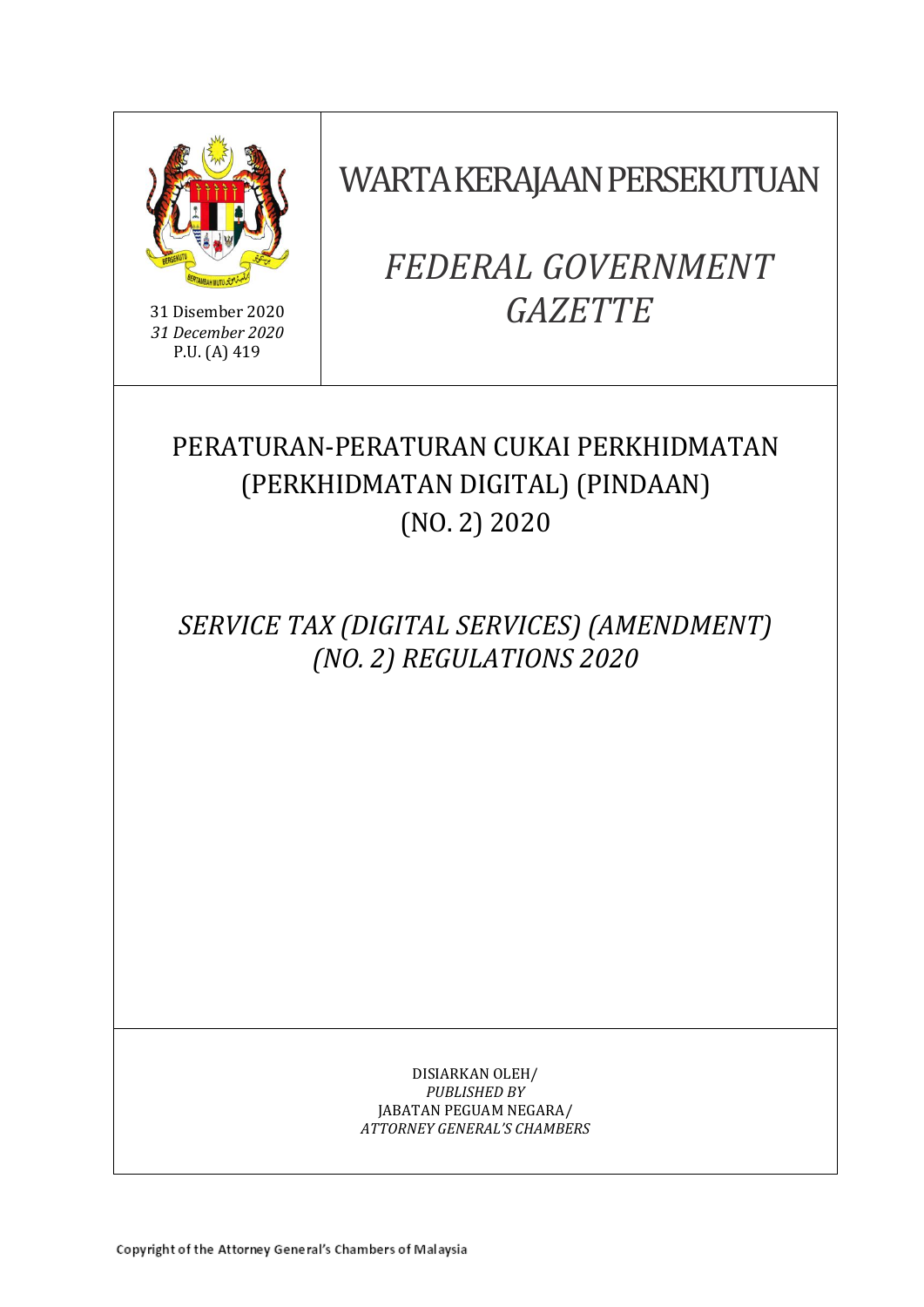

31 Disember 2020 *31 December 2020* P.U. (A) 419

WARTA KERAJAAN PERSEKUTUAN

*FEDERAL GOVERNMENT GAZETTE*

# PERATURAN-PERATURAN CUKAI PERKHIDMATAN (PERKHIDMATAN DIGITAL) (PINDAAN) (NO. 2) 2020

*SERVICE TAX (DIGITAL SERVICES) (AMENDMENT) (NO. 2) REGULATIONS 2020*

> DISIARKAN OLEH/ *PUBLISHED BY* JABATAN PEGUAM NEGARA/ *ATTORNEY GENERAL'S CHAMBERS*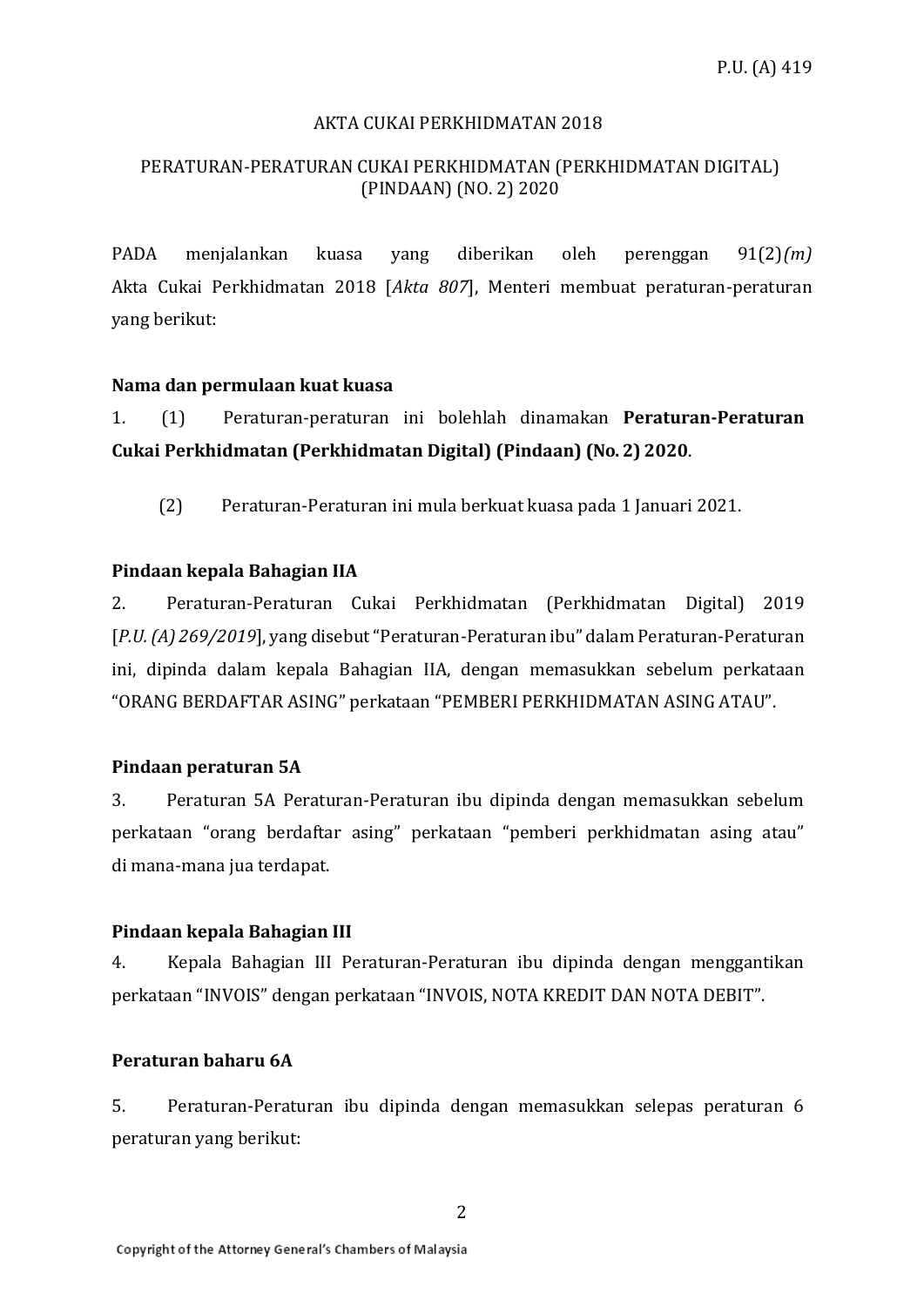## AKTA CUKAI PERKHIDMATAN 2018

# PERATURAN-PERATURAN CUKAI PERKHIDMATAN (PERKHIDMATAN DIGITAL) (PINDAAN) (NO. 2) 2020

PADA menjalankan kuasa yang diberikan oleh perenggan 91(2)*(m)*  Akta Cukai Perkhidmatan 2018 [*Akta 807*], Menteri membuat peraturan-peraturan yang berikut:

## **Nama dan permulaan kuat kuasa**

1. (1) Peraturan-peraturan ini bolehlah dinamakan **Peraturan-Peraturan Cukai Perkhidmatan (Perkhidmatan Digital) (Pindaan) (No. 2) 2020**.

(2) Peraturan-Peraturan ini mula berkuat kuasa pada 1 Januari 2021.

## **Pindaan kepala Bahagian IIA**

2. Peraturan-Peraturan Cukai Perkhidmatan (Perkhidmatan Digital) 2019 [*P.U. (A) 269/2019*], yang disebut "Peraturan-Peraturan ibu" dalam Peraturan-Peraturan ini, dipinda dalam kepala Bahagian IIA, dengan memasukkan sebelum perkataan "ORANG BERDAFTAR ASING" perkataan "PEMBERI PERKHIDMATAN ASING ATAU".

#### **Pindaan peraturan 5A**

3. Peraturan 5A Peraturan-Peraturan ibu dipinda dengan memasukkan sebelum perkataan "orang berdaftar asing" perkataan "pemberi perkhidmatan asing atau" di mana-mana jua terdapat.

#### **Pindaan kepala Bahagian III**

4. Kepala Bahagian III Peraturan-Peraturan ibu dipinda dengan menggantikan perkataan "INVOIS" dengan perkataan "INVOIS, NOTA KREDIT DAN NOTA DEBIT".

## **Peraturan baharu 6A**

5. Peraturan-Peraturan ibu dipinda dengan memasukkan selepas peraturan 6 peraturan yang berikut: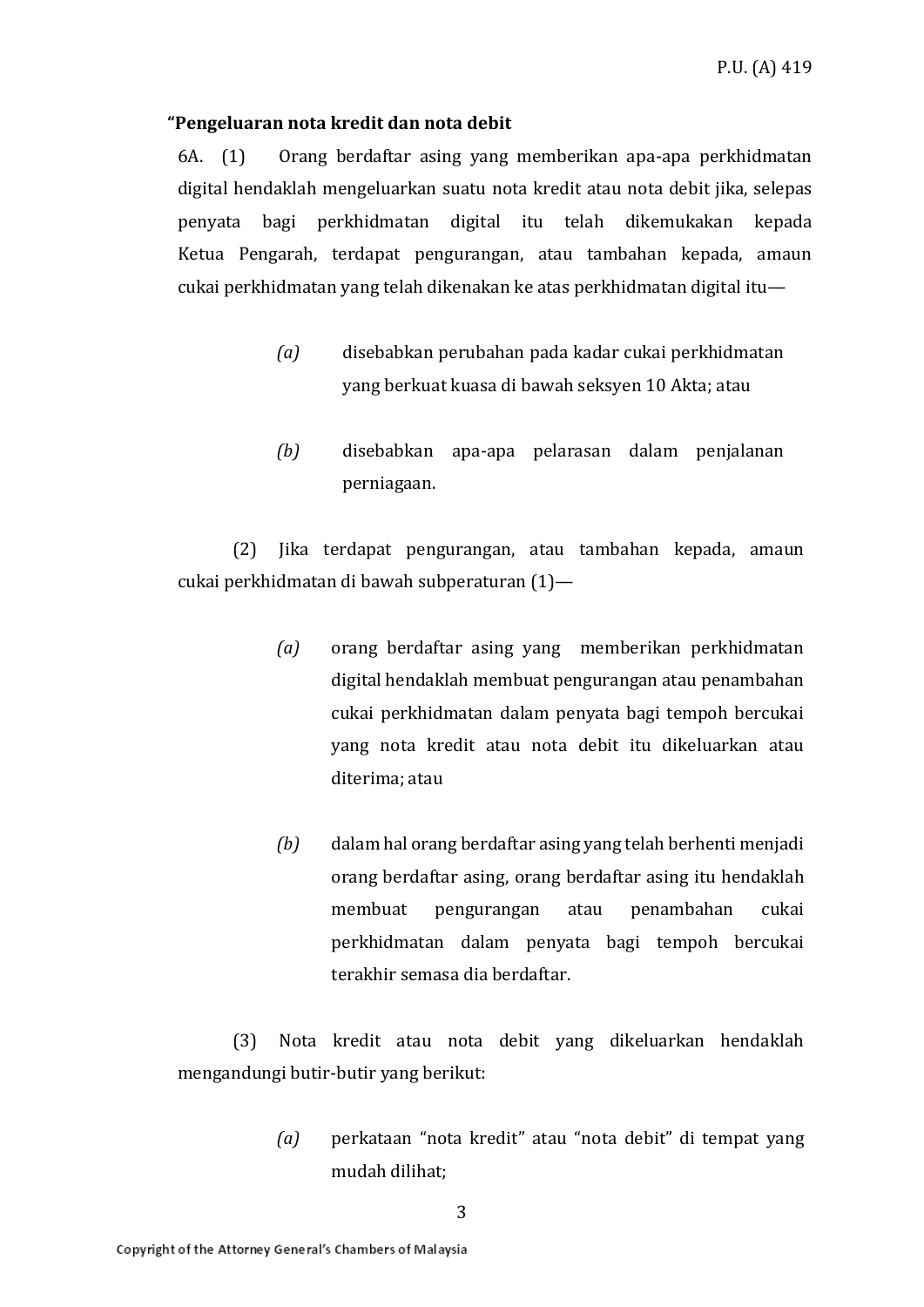#### **"Pengeluaran nota kredit dan nota debit**

6A. (1) Orang berdaftar asing yang memberikan apa-apa perkhidmatan digital hendaklah mengeluarkan suatu nota kredit atau nota debit jika, selepas penyata bagi perkhidmatan digital itu telah dikemukakan kepada Ketua Pengarah, terdapat pengurangan, atau tambahan kepada, amaun cukai perkhidmatan yang telah dikenakan ke atas perkhidmatan digital itu—

- *(a)* disebabkan perubahan pada kadar cukai perkhidmatan yang berkuat kuasa di bawah seksyen 10 Akta; atau
- *(b)* disebabkan apa-apa pelarasan dalam penjalanan perniagaan.

(2) Jika terdapat pengurangan, atau tambahan kepada, amaun cukai perkhidmatan di bawah subperaturan (1)—

- *(a)* orang berdaftar asing yang memberikan perkhidmatan digital hendaklah membuat pengurangan atau penambahan cukai perkhidmatan dalam penyata bagi tempoh bercukai yang nota kredit atau nota debit itu dikeluarkan atau diterima; atau
- *(b)* dalam hal orang berdaftar asing yang telah berhenti menjadi orang berdaftar asing, orang berdaftar asing itu hendaklah membuat pengurangan atau penambahan cukai perkhidmatan dalam penyata bagi tempoh bercukai terakhir semasa dia berdaftar.

(3) Nota kredit atau nota debit yang dikeluarkan hendaklah mengandungi butir-butir yang berikut:

> *(a)* perkataan "nota kredit" atau "nota debit" di tempat yang mudah dilihat;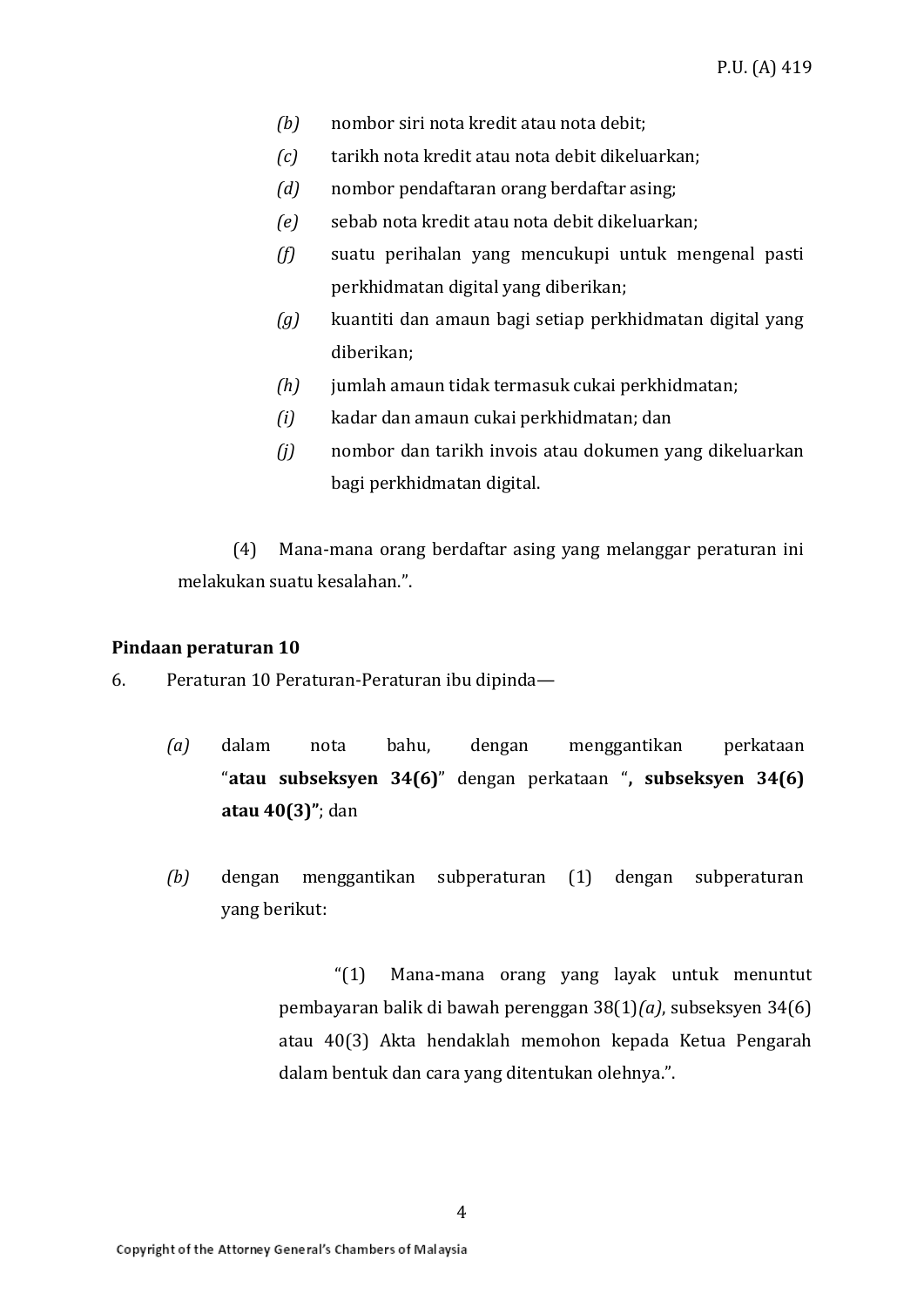- *(b)* nombor siri nota kredit atau nota debit;
- *(c)* tarikh nota kredit atau nota debit dikeluarkan;
- *(d)* nombor pendaftaran orang berdaftar asing;
- *(e)* sebab nota kredit atau nota debit dikeluarkan;
- *(f)* suatu perihalan yang mencukupi untuk mengenal pasti perkhidmatan digital yang diberikan;
- *(g)* kuantiti dan amaun bagi setiap perkhidmatan digital yang diberikan;
- *(h)* jumlah amaun tidak termasuk cukai perkhidmatan;
- *(i)* kadar dan amaun cukai perkhidmatan; dan
- *(j)* nombor dan tarikh invois atau dokumen yang dikeluarkan bagi perkhidmatan digital.

(4) Mana-mana orang berdaftar asing yang melanggar peraturan ini melakukan suatu kesalahan.".

#### **Pindaan peraturan 10**

- 6. Peraturan 10 Peraturan-Peraturan ibu dipinda—
	- *(a)* dalam nota bahu, dengan menggantikan perkataan "**atau subseksyen 34(6)**" dengan perkataan "**, subseksyen 34(6) atau 40(3)"**; dan
	- *(b)* dengan menggantikan subperaturan (1) dengan subperaturan yang berikut:

"(1) Mana-mana orang yang layak untuk menuntut pembayaran balik di bawah perenggan 38(1)*(a)*, subseksyen 34(6) atau 40(3) Akta hendaklah memohon kepada Ketua Pengarah dalam bentuk dan cara yang ditentukan olehnya.".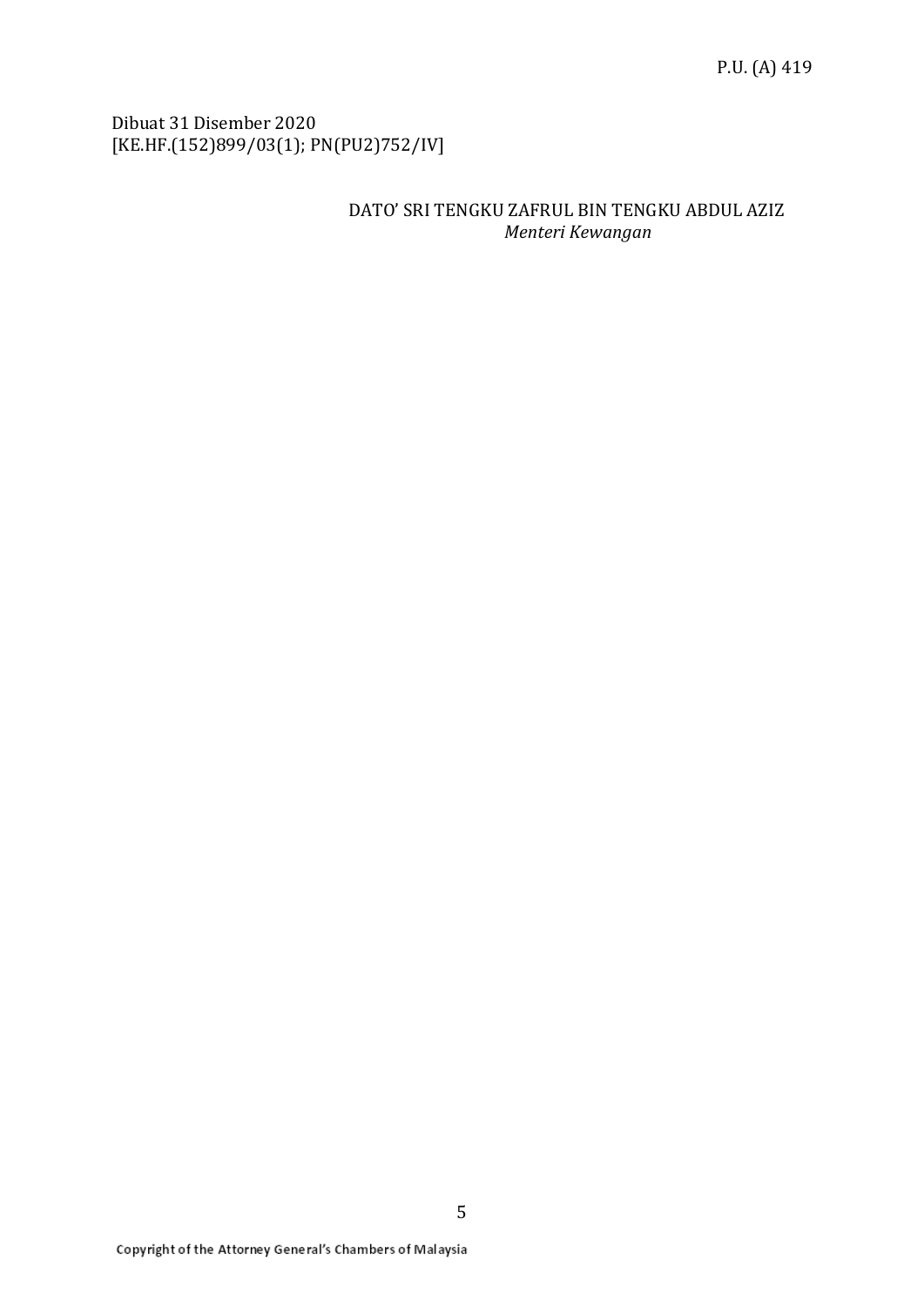Dibuat 31 Disember 2020 [KE.HF.(152)899/03(1); PN(PU2)752/IV]

# DATO' SRI TENGKU ZAFRUL BIN TENGKU ABDUL AZIZ *Menteri Kewangan*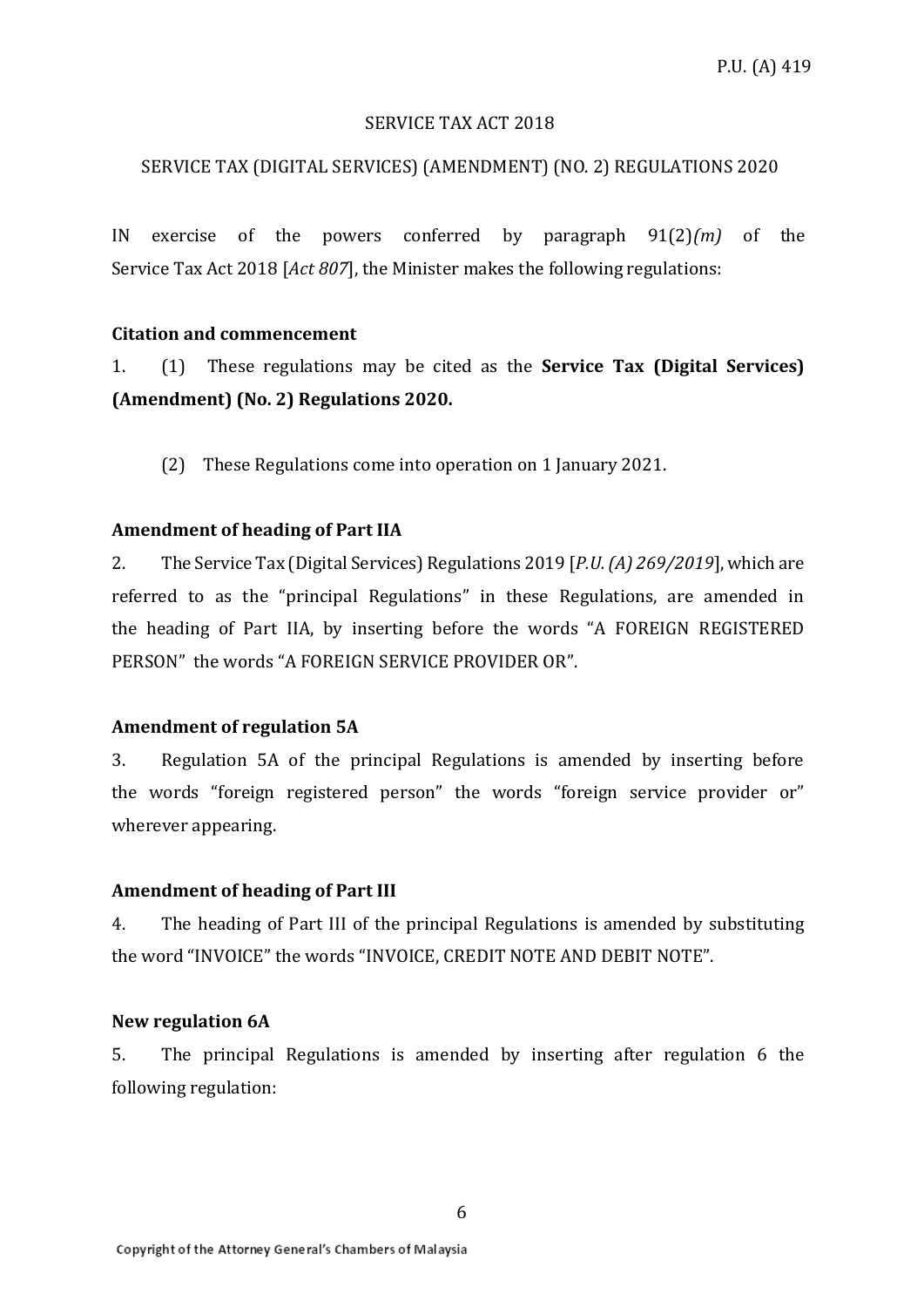## SERVICE TAX ACT 2018

## SERVICE TAX (DIGITAL SERVICES) (AMENDMENT) (NO. 2) REGULATIONS 2020

IN exercise of the powers conferred by paragraph 91(2)*(m)* of the Service Tax Act 2018 [*Act 807*], the Minister makes the following regulations:

## **Citation and commencement**

1. (1) These regulations may be cited as the **Service Tax (Digital Services) (Amendment) (No. 2) Regulations 2020.**

(2) These Regulations come into operation on 1 January 2021.

### **Amendment of heading of Part IIA**

2. The Service Tax (Digital Services) Regulations 2019 [*P.U. (A) 269/2019*], which are referred to as the "principal Regulations" in these Regulations, are amended in the heading of Part IIA, by inserting before the words "A FOREIGN REGISTERED PERSON" the words "A FOREIGN SERVICE PROVIDER OR".

## **Amendment of regulation 5A**

3. Regulation 5A of the principal Regulations is amended by inserting before the words "foreign registered person" the words "foreign service provider or" wherever appearing.

## **Amendment of heading of Part III**

4. The heading of Part III of the principal Regulations is amended by substituting the word "INVOICE" the words "INVOICE, CREDIT NOTE AND DEBIT NOTE".

#### **New regulation 6A**

5. The principal Regulations is amended by inserting after regulation 6 the following regulation: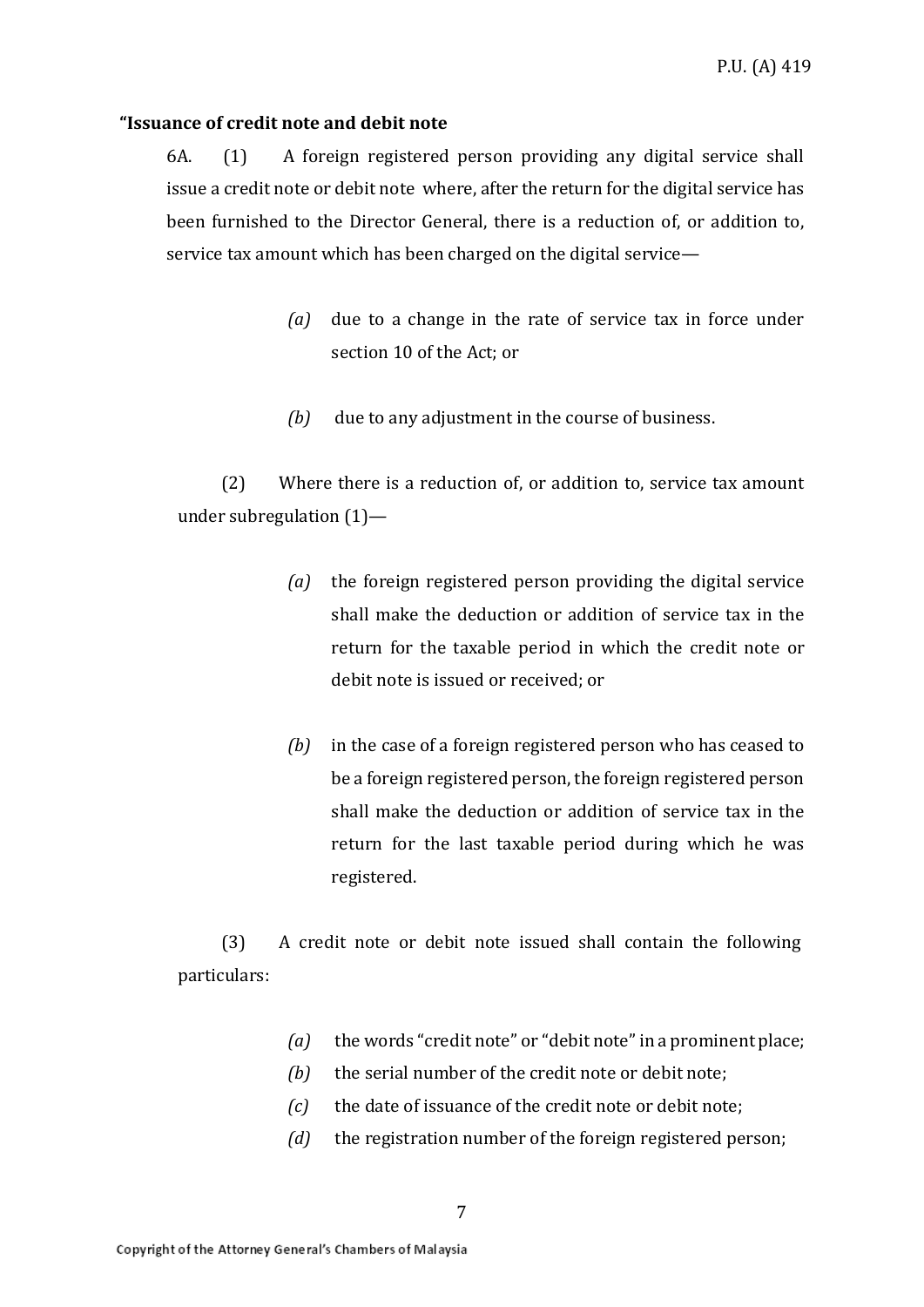## **"Issuance of credit note and debit note**

6A. (1) A foreign registered person providing any digital service shall issue a credit note or debit note where, after the return for the digital service has been furnished to the Director General, there is a reduction of, or addition to, service tax amount which has been charged on the digital service—

- *(a)* due to a change in the rate of service tax in force under section 10 of the Act; or
- *(b)* due to any adjustment in the course of business.

(2) Where there is a reduction of, or addition to, service tax amount under subregulation (1)—

- *(a)* the foreign registered person providing the digital service shall make the deduction or addition of service tax in the return for the taxable period in which the credit note or debit note is issued or received; or
- *(b)* in the case of a foreign registered person who has ceased to be a foreign registered person, the foreign registered person shall make the deduction or addition of service tax in the return for the last taxable period during which he was registered.

(3) A credit note or debit note issued shall contain the following particulars:

- *(a)* the words "credit note" or "debit note" in a prominent place;
- *(b)* the serial number of the credit note or debit note;
- *(c)* the date of issuance of the credit note or debit note;
- *(d)* the registration number of the foreign registered person;